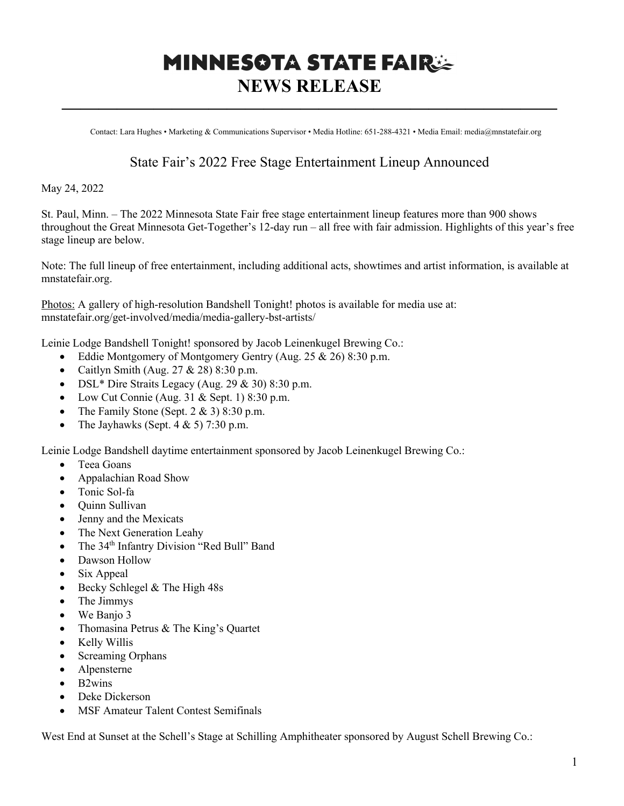## **MINNESOTA STATE FAIR: NEWS RELEASE**

**———————————————————————————**

Contact: Lara Hughes • Marketing & Communications Supervisor • Media Hotline: 651-288-4321 • Media Email: media@mnstatefair.org

## State Fair's 2022 Free Stage Entertainment Lineup Announced

May 24, 2022

St. Paul, Minn. – The 2022 Minnesota State Fair free stage entertainment lineup features more than 900 shows throughout the Great Minnesota Get-Together's 12-day run – all free with fair admission. Highlights of this year's free stage lineup are below.

Note: The full lineup of free entertainment, including additional acts, showtimes and artist information, is available at mnstatefair.org.

Photos: A gallery of high-resolution Bandshell Tonight! photos is available for media use at: mnstatefair.org/get-involved/media/media-gallery-bst-artists/

Leinie Lodge Bandshell Tonight! sponsored by Jacob Leinenkugel Brewing Co.:

- Eddie Montgomery of Montgomery Gentry (Aug.  $25 \& 26$ ) 8:30 p.m.
- Caitlyn Smith (Aug.  $27 & 28$ )  $8:30$  p.m.
- DSL\* Dire Straits Legacy (Aug.  $29 \& 30$ ) 8:30 p.m.
- Low Cut Connie (Aug. 31 & Sept. 1) 8:30 p.m.
- The Family Stone (Sept.  $2 \& 3$ ) 8:30 p.m.
- The Jayhawks (Sept.  $4 \& 5$ ) 7:30 p.m.

Leinie Lodge Bandshell daytime entertainment sponsored by Jacob Leinenkugel Brewing Co.:

- Teea Goans
- Appalachian Road Show
- Tonic Sol-fa
- Quinn Sullivan
- Jenny and the Mexicats
- The Next Generation Leahy
- The  $34<sup>th</sup>$  Infantry Division "Red Bull" Band
- Dawson Hollow
- Six Appeal
- Becky Schlegel & The High 48s
- The Jimmys
- We Banjo 3
- Thomasina Petrus & The King's Quartet
- Kelly Willis
- Screaming Orphans
- Alpensterne
- B2wins
- Deke Dickerson
- MSF Amateur Talent Contest Semifinals

West End at Sunset at the Schell's Stage at Schilling Amphitheater sponsored by August Schell Brewing Co.: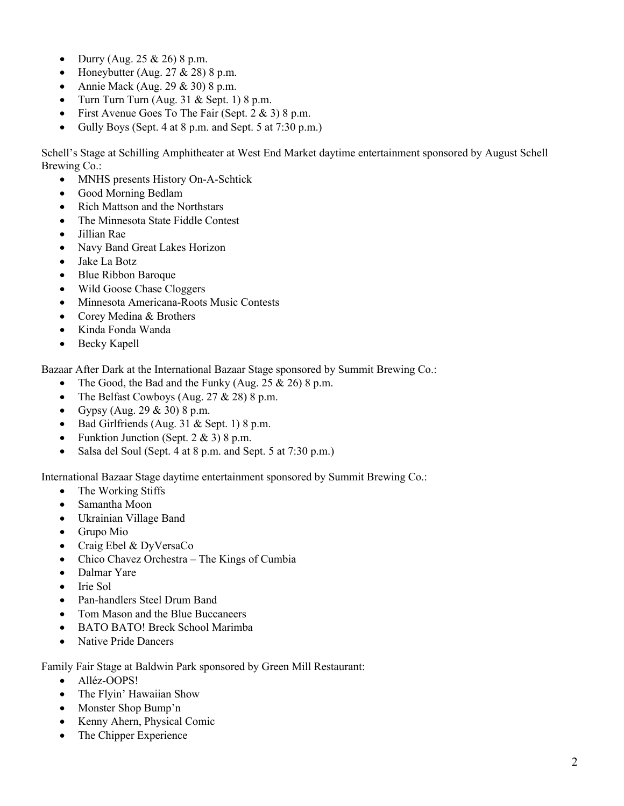- Durry (Aug.  $25 \& 26$ ) 8 p.m.
- Honeybutter (Aug.  $27 & 28$ ) 8 p.m.
- Annie Mack (Aug.  $29 \& 30$ ) 8 p.m.
- Turn Turn Turn (Aug.  $31 &$  Sept. 1) 8 p.m.
- First Avenue Goes To The Fair (Sept. 2 & 3) 8 p.m.
- Gully Boys (Sept. 4 at 8 p.m. and Sept. 5 at 7:30 p.m.)

Schell's Stage at Schilling Amphitheater at West End Market daytime entertainment sponsored by August Schell Brewing Co.:

- MNHS presents History On-A-Schtick
- Good Morning Bedlam
- Rich Mattson and the Northstars
- The Minnesota State Fiddle Contest
- Jillian Rae
- Navy Band Great Lakes Horizon
- Jake La Botz
- Blue Ribbon Baroque
- Wild Goose Chase Cloggers
- Minnesota Americana-Roots Music Contests
- Corey Medina & Brothers
- Kinda Fonda Wanda
- Becky Kapell

Bazaar After Dark at the International Bazaar Stage sponsored by Summit Brewing Co.:

- The Good, the Bad and the Funky (Aug.  $25 \& 26$ ) 8 p.m.
- The Belfast Cowboys (Aug.  $27 & 28$ ) 8 p.m.
- Gypsy (Aug. 29  $& 30$ ) 8 p.m.
- Bad Girlfriends (Aug. 31  $&$  Sept. 1) 8 p.m.
- Funktion Junction (Sept.  $2 \& 3$ ) 8 p.m.
- Salsa del Soul (Sept. 4 at 8 p.m. and Sept. 5 at 7:30 p.m.)

International Bazaar Stage daytime entertainment sponsored by Summit Brewing Co.:

- The Working Stiffs
- Samantha Moon
- Ukrainian Village Band
- Grupo Mio
- Craig Ebel & DyVersaCo
- Chico Chavez Orchestra The Kings of Cumbia
- Dalmar Yare
- Irie Sol
- Pan-handlers Steel Drum Band
- Tom Mason and the Blue Buccaneers
- BATO BATO! Breck School Marimba
- Native Pride Dancers

Family Fair Stage at Baldwin Park sponsored by Green Mill Restaurant:

- Alléz-OOPS!
- The Flyin' Hawaiian Show
- Monster Shop Bump'n
- Kenny Ahern, Physical Comic
- The Chipper Experience